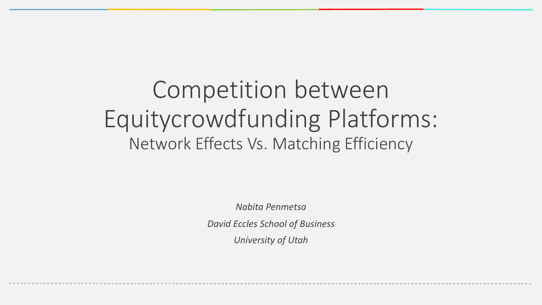### Competition between Equitycrowdfunding Platforms: Network Effects Vs. Matching Efficiency

*Nabita Penmetsa David Eccles School of Business University of Utah*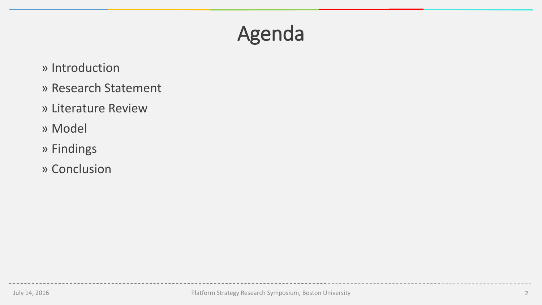### Agenda

- » Introduction
- » Research Statement
- » Literature Review
- » Model
- » Findings
- » Conclusion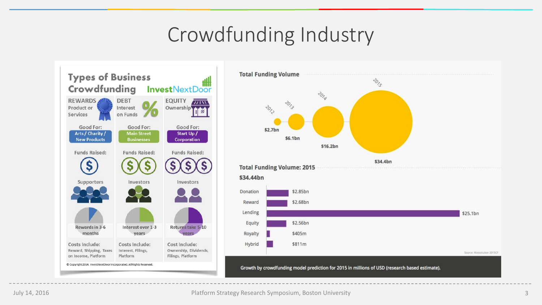### Crowdfunding Industry



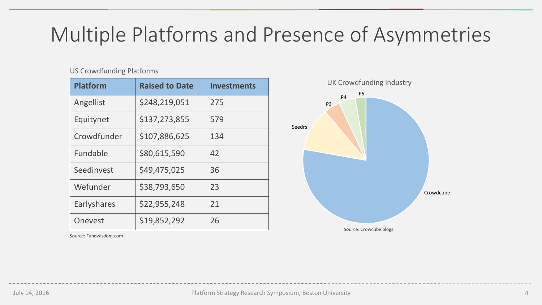### Multiple Platforms and Presence of Asymmetries

#### US Crowdfunding Platforms

| <b>Platform</b>    | <b>Raised to Date</b> | <b>Investments</b> |  |
|--------------------|-----------------------|--------------------|--|
| Angellist          | \$248,219,051         | 275                |  |
| Equitynet          | \$137,273,855         | 579                |  |
| Crowdfunder        | \$107,886,625         | 134                |  |
| Fundable           | \$80,615,590          | 42                 |  |
| Seedinvest         | \$49,475,025          | 36                 |  |
| Wefunder           | \$38,793,650          | 23                 |  |
| <b>Earlyshares</b> | \$22,955,248          | 21                 |  |
| Onevest            | \$19,852,292          | 26                 |  |



Source: Fundwisdom.com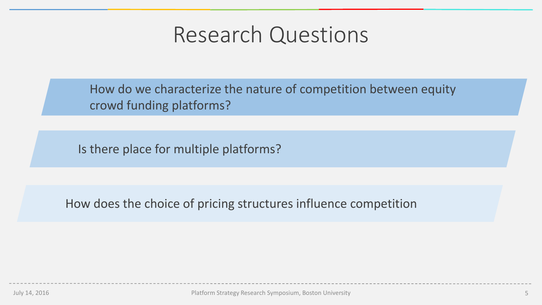### Research Questions

How do we characterize the nature of competition between equity crowd funding platforms?

Is there place for multiple platforms?

How does the choice of pricing structures influence competition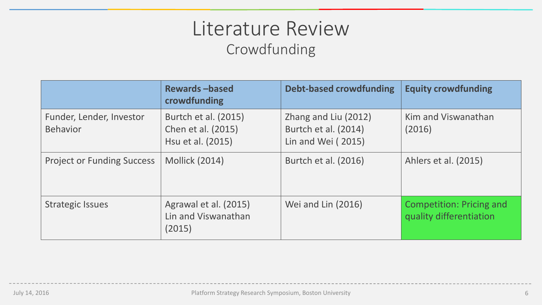### Literature Review Crowdfunding

|                                             | <b>Rewards-based</b><br>crowdfunding                            | <b>Debt-based crowdfunding</b>                                     | <b>Equity crowdfunding</b>                                 |
|---------------------------------------------|-----------------------------------------------------------------|--------------------------------------------------------------------|------------------------------------------------------------|
| Funder, Lender, Investor<br><b>Behavior</b> | Burtch et al. (2015)<br>Chen et al. (2015)<br>Hsu et al. (2015) | Zhang and Liu (2012)<br>Burtch et al. (2014)<br>Lin and Wei (2015) | Kim and Viswanathan<br>(2016)                              |
| <b>Project or Funding Success</b>           | <b>Mollick (2014)</b>                                           | Burtch et al. (2016)                                               | Ahlers et al. (2015)                                       |
| <b>Strategic Issues</b>                     | Agrawal et al. (2015)<br>Lin and Viswanathan<br>(2015)          | Wei and Lin (2016)                                                 | <b>Competition: Pricing and</b><br>quality differentiation |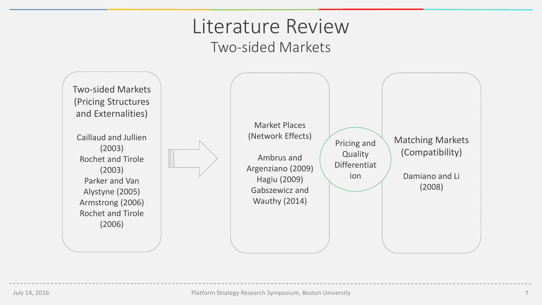### Literature Review Two-sided Markets

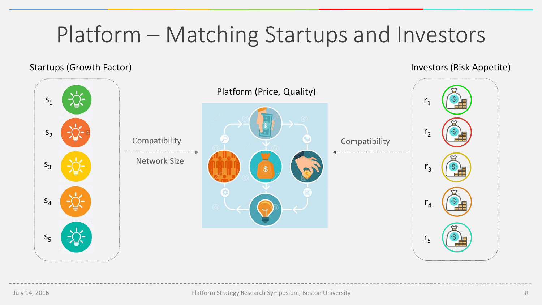# Platform – Matching Startups and Investors

#### Startups (Growth Factor) and Startups (Growth Factor) and Investors (Risk Appetite)

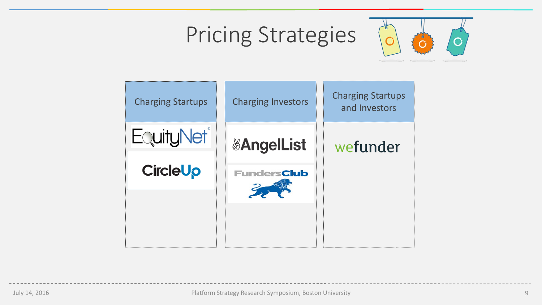# Pricing Strategies



| <b>Charging Startups</b> | <b>Charging Investors</b>    | <b>Charging Startups</b><br>and Investors |
|--------------------------|------------------------------|-------------------------------------------|
| <b>EquityNet®</b>        | <b><i>&amp;AngelList</i></b> | wefunder                                  |
| <b>CircleUp</b>          | <b>FundersClub</b>           |                                           |
|                          |                              |                                           |
|                          |                              |                                           |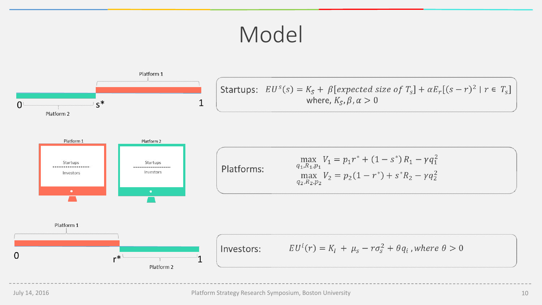### Model

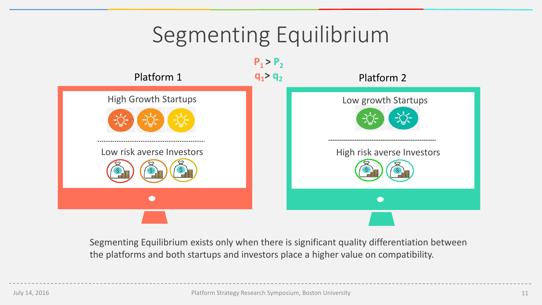### Segmenting Equilibrium Platform 1  $q_1 > q_2$  Platform 2  $P_1 > P_2$  $q_1$ > $q_2$



Segmenting Equilibrium exists only when there is significant quality differentiation between the platforms and both startups and investors place a higher value on compatibility.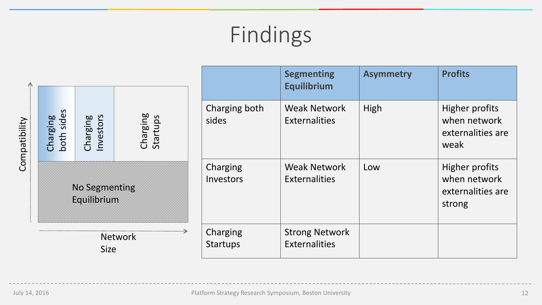# Findings

|                               |                                                                         |                             |                                        |                                             | <b>Segmenting</b><br>Equilibrium                            | <b>Asymmetry</b>                                              | <b>Profits</b> |
|-------------------------------|-------------------------------------------------------------------------|-----------------------------|----------------------------------------|---------------------------------------------|-------------------------------------------------------------|---------------------------------------------------------------|----------------|
| Compatibility                 | both sides<br>Charging<br>Startups<br>Investors<br>Charging<br>Charging | Charging both<br>sides      | <b>Weak Network</b><br>Externalities   | High                                        | Higher profits<br>when network<br>externalities are<br>weak |                                                               |                |
|                               | <b>XXX SEEXXEXXXXE</b><br><b>EGYMMSKYKKK</b>                            |                             | Charging<br>Investors                  | <b>Weak Network</b><br><b>Externalities</b> | Low                                                         | Higher profits<br>when network<br>externalities are<br>strong |                |
| <b>Network</b><br><b>Size</b> |                                                                         | Charging<br><b>Startups</b> | <b>Strong Network</b><br>Externalities |                                             |                                                             |                                                               |                |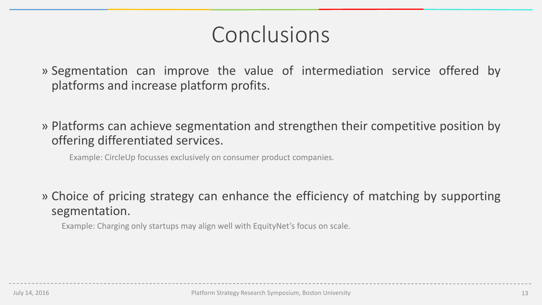### Conclusions

» Segmentation can improve the value of intermediation service offered by platforms and increase platform profits.

» Platforms can achieve segmentation and strengthen their competitive position by offering differentiated services.

Example: CircleUp focusses exclusively on consumer product companies.

» Choice of pricing strategy can enhance the efficiency of matching by supporting segmentation.

Example: Charging only startups may align well with EquityNet's focus on scale.